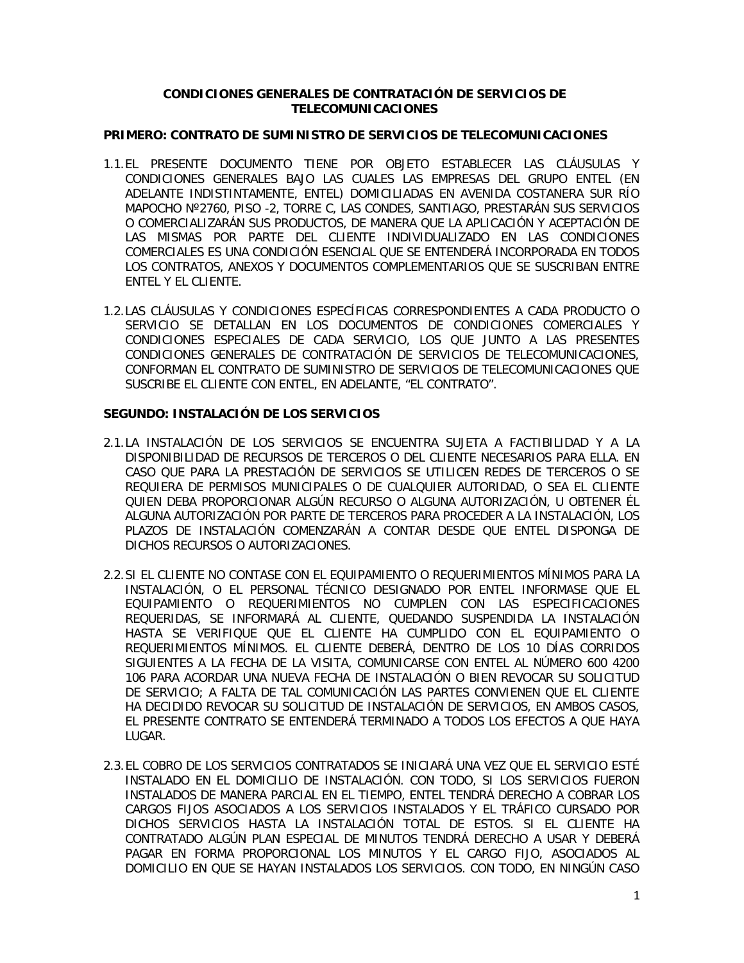## **CONDICIONES GENERALES DE CONTRATACIÓN DE SERVICIOS DE TELECOMUNICACIONES**

#### **PRIMERO: CONTRATO DE SUMINISTRO DE SERVICIOS DE TELECOMUNICACIONES**

- 1.1.EL PRESENTE DOCUMENTO TIENE POR OBJETO ESTABLECER LAS CLÁUSULAS Y CONDICIONES GENERALES BAJO LAS CUALES LAS EMPRESAS DEL GRUPO ENTEL (EN ADELANTE INDISTINTAMENTE, ENTEL) DOMICILIADAS EN AVENIDA COSTANERA SUR RÍO MAPOCHO Nº2760, PISO -2, TORRE C, LAS CONDES, SANTIAGO, PRESTARÁN SUS SERVICIOS O COMERCIALIZARÁN SUS PRODUCTOS, DE MANERA QUE LA APLICACIÓN Y ACEPTACIÓN DE LAS MISMAS POR PARTE DEL CLIENTE INDIVIDUALIZADO EN LAS CONDICIONES COMERCIALES ES UNA CONDICIÓN ESENCIAL QUE SE ENTENDERÁ INCORPORADA EN TODOS LOS CONTRATOS, ANEXOS Y DOCUMENTOS COMPLEMENTARIOS QUE SE SUSCRIBAN ENTRE ENTEL Y EL CLIENTE.
- 1.2.LAS CLÁUSULAS Y CONDICIONES ESPECÍFICAS CORRESPONDIENTES A CADA PRODUCTO O SERVICIO SE DETALLAN EN LOS DOCUMENTOS DE CONDICIONES COMERCIALES Y CONDICIONES ESPECIALES DE CADA SERVICIO, LOS QUE JUNTO A LAS PRESENTES CONDICIONES GENERALES DE CONTRATACIÓN DE SERVICIOS DE TELECOMUNICACIONES, CONFORMAN EL CONTRATO DE SUMINISTRO DE SERVICIOS DE TELECOMUNICACIONES QUE SUSCRIBE EL CLIENTE CON ENTEL, EN ADELANTE, "EL CONTRATO".

#### **SEGUNDO: INSTALACIÓN DE LOS SERVICIOS**

- 2.1.LA INSTALACIÓN DE LOS SERVICIOS SE ENCUENTRA SUJETA A FACTIBILIDAD Y A LA DISPONIBILIDAD DE RECURSOS DE TERCEROS O DEL CLIENTE NECESARIOS PARA ELLA. EN CASO QUE PARA LA PRESTACIÓN DE SERVICIOS SE UTILICEN REDES DE TERCEROS O SE REQUIERA DE PERMISOS MUNICIPALES O DE CUALQUIER AUTORIDAD, O SEA EL CLIENTE QUIEN DEBA PROPORCIONAR ALGÚN RECURSO O ALGUNA AUTORIZACIÓN, U OBTENER ÉL ALGUNA AUTORIZACIÓN POR PARTE DE TERCEROS PARA PROCEDER A LA INSTALACIÓN, LOS PLAZOS DE INSTALACIÓN COMENZARÁN A CONTAR DESDE QUE ENTEL DISPONGA DE DICHOS RECURSOS O AUTORIZACIONES.
- 2.2.SI EL CLIENTE NO CONTASE CON EL EQUIPAMIENTO O REQUERIMIENTOS MÍNIMOS PARA LA INSTALACIÓN, O EL PERSONAL TÉCNICO DESIGNADO POR ENTEL INFORMASE QUE EL EQUIPAMIENTO O REQUERIMIENTOS NO CUMPLEN CON LAS ESPECIFICACIONES REQUERIDAS, SE INFORMARÁ AL CLIENTE, QUEDANDO SUSPENDIDA LA INSTALACIÓN HASTA SE VERIFIQUE QUE EL CLIENTE HA CUMPLIDO CON EL EQUIPAMIENTO O REQUERIMIENTOS MÍNIMOS. EL CLIENTE DEBERÁ, DENTRO DE LOS 10 DÍAS CORRIDOS SIGUIENTES A LA FECHA DE LA VISITA, COMUNICARSE CON ENTEL AL NÚMERO 600 4200 106 PARA ACORDAR UNA NUEVA FECHA DE INSTALACIÓN O BIEN REVOCAR SU SOLICITUD DE SERVICIO; A FALTA DE TAL COMUNICACIÓN LAS PARTES CONVIENEN QUE EL CLIENTE HA DECIDIDO REVOCAR SU SOLICITUD DE INSTALACIÓN DE SERVICIOS, EN AMBOS CASOS, EL PRESENTE CONTRATO SE ENTENDERÁ TERMINADO A TODOS LOS EFECTOS A QUE HAYA LUGAR.
- 2.3.EL COBRO DE LOS SERVICIOS CONTRATADOS SE INICIARÁ UNA VEZ QUE EL SERVICIO ESTÉ INSTALADO EN EL DOMICILIO DE INSTALACIÓN. CON TODO, SI LOS SERVICIOS FUERON INSTALADOS DE MANERA PARCIAL EN EL TIEMPO, ENTEL TENDRÁ DERECHO A COBRAR LOS CARGOS FIJOS ASOCIADOS A LOS SERVICIOS INSTALADOS Y EL TRÁFICO CURSADO POR DICHOS SERVICIOS HASTA LA INSTALACIÓN TOTAL DE ESTOS. SI EL CLIENTE HA CONTRATADO ALGÚN PLAN ESPECIAL DE MINUTOS TENDRÁ DERECHO A USAR Y DEBERÁ PAGAR EN FORMA PROPORCIONAL LOS MINUTOS Y EL CARGO FIJO, ASOCIADOS AL DOMICILIO EN QUE SE HAYAN INSTALADOS LOS SERVICIOS. CON TODO, EN NINGÚN CASO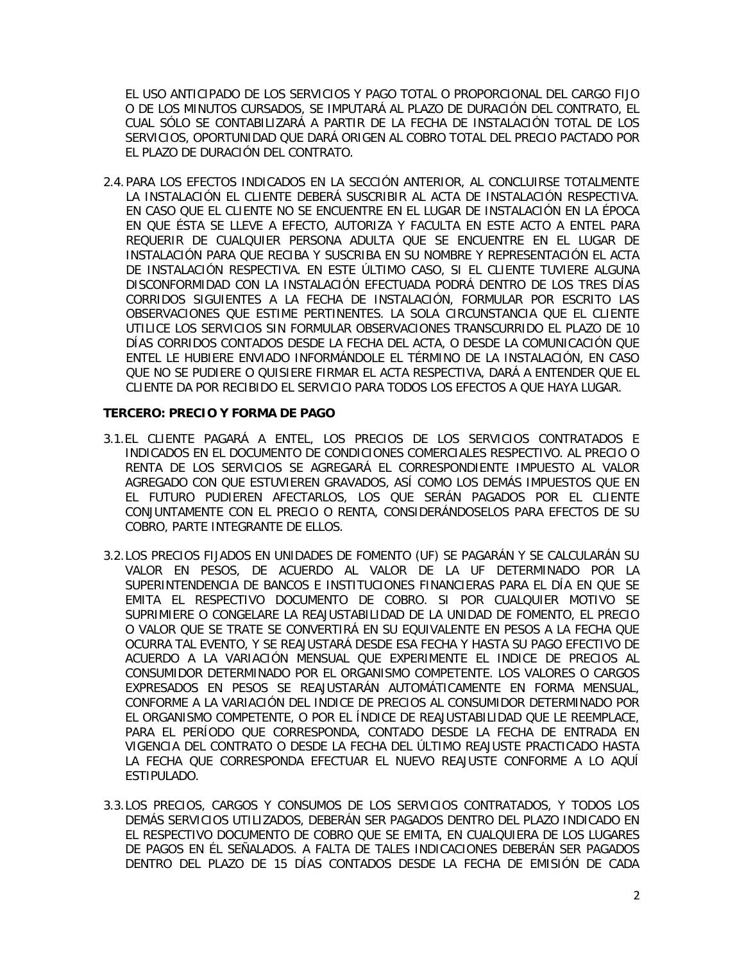EL USO ANTICIPADO DE LOS SERVICIOS Y PAGO TOTAL O PROPORCIONAL DEL CARGO FIJO O DE LOS MINUTOS CURSADOS, SE IMPUTARÁ AL PLAZO DE DURACIÓN DEL CONTRATO, EL CUAL SÓLO SE CONTABILIZARÁ A PARTIR DE LA FECHA DE INSTALACIÓN TOTAL DE LOS SERVICIOS, OPORTUNIDAD QUE DARÁ ORIGEN AL COBRO TOTAL DEL PRECIO PACTADO POR EL PLAZO DE DURACIÓN DEL CONTRATO.

2.4. PARA LOS EFECTOS INDICADOS EN LA SECCIÓN ANTERIOR, AL CONCLUIRSE TOTALMENTE LA INSTALACIÓN EL CLIENTE DEBERÁ SUSCRIBIR AL ACTA DE INSTALACIÓN RESPECTIVA. EN CASO QUE EL CLIENTE NO SE ENCUENTRE EN EL LUGAR DE INSTALACIÓN EN LA ÉPOCA EN QUE ÉSTA SE LLEVE A EFECTO, AUTORIZA Y FACULTA EN ESTE ACTO A ENTEL PARA REQUERIR DE CUALQUIER PERSONA ADULTA QUE SE ENCUENTRE EN EL LUGAR DE INSTALACIÓN PARA QUE RECIBA Y SUSCRIBA EN SU NOMBRE Y REPRESENTACIÓN EL ACTA DE INSTALACIÓN RESPECTIVA. EN ESTE ÚLTIMO CASO, SI EL CLIENTE TUVIERE ALGUNA DISCONFORMIDAD CON LA INSTALACIÓN EFECTUADA PODRÁ DENTRO DE LOS TRES DÍAS CORRIDOS SIGUIENTES A LA FECHA DE INSTALACIÓN, FORMULAR POR ESCRITO LAS OBSERVACIONES QUE ESTIME PERTINENTES. LA SOLA CIRCUNSTANCIA QUE EL CLIENTE UTILICE LOS SERVICIOS SIN FORMULAR OBSERVACIONES TRANSCURRIDO EL PLAZO DE 10 DÍAS CORRIDOS CONTADOS DESDE LA FECHA DEL ACTA, O DESDE LA COMUNICACIÓN QUE ENTEL LE HUBIERE ENVIADO INFORMÁNDOLE EL TÉRMINO DE LA INSTALACIÓN, EN CASO QUE NO SE PUDIERE O QUISIERE FIRMAR EL ACTA RESPECTIVA, DARÁ A ENTENDER QUE EL CLIENTE DA POR RECIBIDO EL SERVICIO PARA TODOS LOS EFECTOS A QUE HAYA LUGAR.

#### **TERCERO: PRECIO Y FORMA DE PAGO**

- 3.1.EL CLIENTE PAGARÁ A ENTEL, LOS PRECIOS DE LOS SERVICIOS CONTRATADOS E INDICADOS EN EL DOCUMENTO DE CONDICIONES COMERCIALES RESPECTIVO. AL PRECIO O RENTA DE LOS SERVICIOS SE AGREGARÁ EL CORRESPONDIENTE IMPUESTO AL VALOR AGREGADO CON QUE ESTUVIEREN GRAVADOS, ASÍ COMO LOS DEMÁS IMPUESTOS QUE EN EL FUTURO PUDIEREN AFECTARLOS, LOS QUE SERÁN PAGADOS POR EL CLIENTE CONJUNTAMENTE CON EL PRECIO O RENTA, CONSIDERÁNDOSELOS PARA EFECTOS DE SU COBRO, PARTE INTEGRANTE DE ELLOS.
- 3.2.LOS PRECIOS FIJADOS EN UNIDADES DE FOMENTO (UF) SE PAGARÁN Y SE CALCULARÁN SU VALOR EN PESOS, DE ACUERDO AL VALOR DE LA UF DETERMINADO POR LA SUPERINTENDENCIA DE BANCOS E INSTITUCIONES FINANCIERAS PARA EL DÍA EN QUE SE EMITA EL RESPECTIVO DOCUMENTO DE COBRO. SI POR CUALQUIER MOTIVO SE SUPRIMIERE O CONGELARE LA REAJUSTABILIDAD DE LA UNIDAD DE FOMENTO, EL PRECIO O VALOR QUE SE TRATE SE CONVERTIRÁ EN SU EQUIVALENTE EN PESOS A LA FECHA QUE OCURRA TAL EVENTO, Y SE REAJUSTARÁ DESDE ESA FECHA Y HASTA SU PAGO EFECTIVO DE ACUERDO A LA VARIACIÓN MENSUAL QUE EXPERIMENTE EL INDICE DE PRECIOS AL CONSUMIDOR DETERMINADO POR EL ORGANISMO COMPETENTE. LOS VALORES O CARGOS EXPRESADOS EN PESOS SE REAJUSTARÁN AUTOMÁTICAMENTE EN FORMA MENSUAL, CONFORME A LA VARIACIÓN DEL INDICE DE PRECIOS AL CONSUMIDOR DETERMINADO POR EL ORGANISMO COMPETENTE, O POR EL ÍNDICE DE REAJUSTABILIDAD QUE LE REEMPLACE, PARA EL PERÍODO QUE CORRESPONDA, CONTADO DESDE LA FECHA DE ENTRADA EN VIGENCIA DEL CONTRATO O DESDE LA FECHA DEL ÚLTIMO REAJUSTE PRACTICADO HASTA LA FECHA QUE CORRESPONDA EFECTUAR EL NUEVO REAJUSTE CONFORME A LO AQUÍ ESTIPULADO.
- 3.3.LOS PRECIOS, CARGOS Y CONSUMOS DE LOS SERVICIOS CONTRATADOS, Y TODOS LOS DEMÁS SERVICIOS UTILIZADOS, DEBERÁN SER PAGADOS DENTRO DEL PLAZO INDICADO EN EL RESPECTIVO DOCUMENTO DE COBRO QUE SE EMITA, EN CUALQUIERA DE LOS LUGARES DE PAGOS EN ÉL SEÑALADOS. A FALTA DE TALES INDICACIONES DEBERÁN SER PAGADOS DENTRO DEL PLAZO DE 15 DÍAS CONTADOS DESDE LA FECHA DE EMISIÓN DE CADA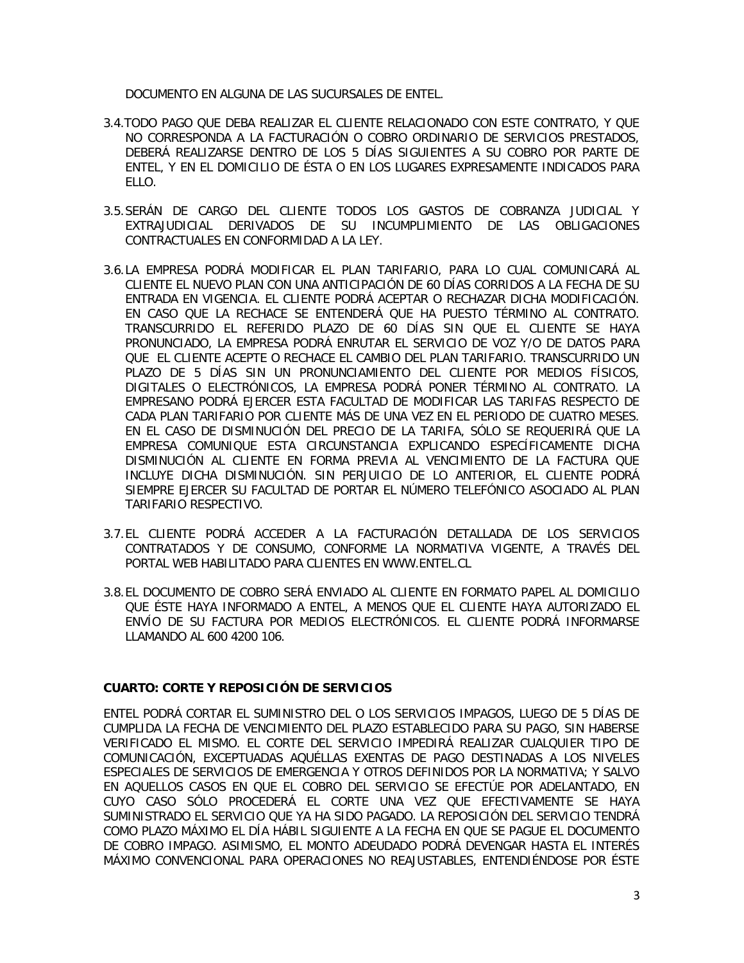DOCUMENTO EN ALGUNA DE LAS SUCURSALES DE ENTEL.

- 3.4.TODO PAGO QUE DEBA REALIZAR EL CLIENTE RELACIONADO CON ESTE CONTRATO, Y QUE NO CORRESPONDA A LA FACTURACIÓN O COBRO ORDINARIO DE SERVICIOS PRESTADOS, DEBERÁ REALIZARSE DENTRO DE LOS 5 DÍAS SIGUIENTES A SU COBRO POR PARTE DE ENTEL, Y EN EL DOMICILIO DE ÉSTA O EN LOS LUGARES EXPRESAMENTE INDICADOS PARA ELLO.
- 3.5.SERÁN DE CARGO DEL CLIENTE TODOS LOS GASTOS DE COBRANZA JUDICIAL Y EXTRAJUDICIAL DERIVADOS DE SU INCUMPLIMIENTO DE LAS OBLIGACIONES CONTRACTUALES EN CONFORMIDAD A LA LEY.
- 3.6.LA EMPRESA PODRÁ MODIFICAR EL PLAN TARIFARIO, PARA LO CUAL COMUNICARÁ AL CLIENTE EL NUEVO PLAN CON UNA ANTICIPACIÓN DE 60 DÍAS CORRIDOS A LA FECHA DE SU ENTRADA EN VIGENCIA. EL CLIENTE PODRÁ ACEPTAR O RECHAZAR DICHA MODIFICACIÓN. EN CASO QUE LA RECHACE SE ENTENDERÁ QUE HA PUESTO TÉRMINO AL CONTRATO. TRANSCURRIDO EL REFERIDO PLAZO DE 60 DÍAS SIN QUE EL CLIENTE SE HAYA PRONUNCIADO, LA EMPRESA PODRÁ ENRUTAR EL SERVICIO DE VOZ Y/O DE DATOS PARA QUE EL CLIENTE ACEPTE O RECHACE EL CAMBIO DEL PLAN TARIFARIO. TRANSCURRIDO UN PLAZO DE 5 DÍAS SIN UN PRONUNCIAMIENTO DEL CLIENTE POR MEDIOS FÍSICOS, DIGITALES O ELECTRÓNICOS, LA EMPRESA PODRÁ PONER TÉRMINO AL CONTRATO. LA EMPRESANO PODRÁ EJERCER ESTA FACULTAD DE MODIFICAR LAS TARIFAS RESPECTO DE CADA PLAN TARIFARIO POR CLIENTE MÁS DE UNA VEZ EN EL PERIODO DE CUATRO MESES. EN EL CASO DE DISMINUCIÓN DEL PRECIO DE LA TARIFA, SÓLO SE REQUERIRÁ QUE LA EMPRESA COMUNIQUE ESTA CIRCUNSTANCIA EXPLICANDO ESPECÍFICAMENTE DICHA DISMINUCIÓN AL CLIENTE EN FORMA PREVIA AL VENCIMIENTO DE LA FACTURA QUE INCLUYE DICHA DISMINUCIÓN. SIN PERJUICIO DE LO ANTERIOR, EL CLIENTE PODRÁ SIEMPRE EJERCER SU FACULTAD DE PORTAR EL NÚMERO TELEFÓNICO ASOCIADO AL PLAN TARIFARIO RESPECTIVO.
- 3.7.EL CLIENTE PODRÁ ACCEDER A LA FACTURACIÓN DETALLADA DE LOS SERVICIOS CONTRATADOS Y DE CONSUMO, CONFORME LA NORMATIVA VIGENTE, A TRAVÉS DEL PORTAL WEB HABILITADO PARA CLIENTES EN WWW.ENTEL.CL
- 3.8.EL DOCUMENTO DE COBRO SERÁ ENVIADO AL CLIENTE EN FORMATO PAPEL AL DOMICILIO QUE ÉSTE HAYA INFORMADO A ENTEL, A MENOS QUE EL CLIENTE HAYA AUTORIZADO EL ENVÍO DE SU FACTURA POR MEDIOS ELECTRÓNICOS. EL CLIENTE PODRÁ INFORMARSE LLAMANDO AL 600 4200 106.

# **CUARTO: CORTE Y REPOSICIÓN DE SERVICIOS**

ENTEL PODRÁ CORTAR EL SUMINISTRO DEL O LOS SERVICIOS IMPAGOS, LUEGO DE 5 DÍAS DE CUMPLIDA LA FECHA DE VENCIMIENTO DEL PLAZO ESTABLECIDO PARA SU PAGO, SIN HABERSE VERIFICADO EL MISMO. EL CORTE DEL SERVICIO IMPEDIRÁ REALIZAR CUALQUIER TIPO DE COMUNICACIÓN, EXCEPTUADAS AQUÉLLAS EXENTAS DE PAGO DESTINADAS A LOS NIVELES ESPECIALES DE SERVICIOS DE EMERGENCIA Y OTROS DEFINIDOS POR LA NORMATIVA; Y SALVO EN AQUELLOS CASOS EN QUE EL COBRO DEL SERVICIO SE EFECTÚE POR ADELANTADO, EN CUYO CASO SÓLO PROCEDERÁ EL CORTE UNA VEZ QUE EFECTIVAMENTE SE HAYA SUMINISTRADO EL SERVICIO QUE YA HA SIDO PAGADO. LA REPOSICIÓN DEL SERVICIO TENDRÁ COMO PLAZO MÁXIMO EL DÍA HÁBIL SIGUIENTE A LA FECHA EN QUE SE PAGUE EL DOCUMENTO DE COBRO IMPAGO. ASIMISMO, EL MONTO ADEUDADO PODRÁ DEVENGAR HASTA EL INTERÉS MÁXIMO CONVENCIONAL PARA OPERACIONES NO REAJUSTABLES, ENTENDIÉNDOSE POR ÉSTE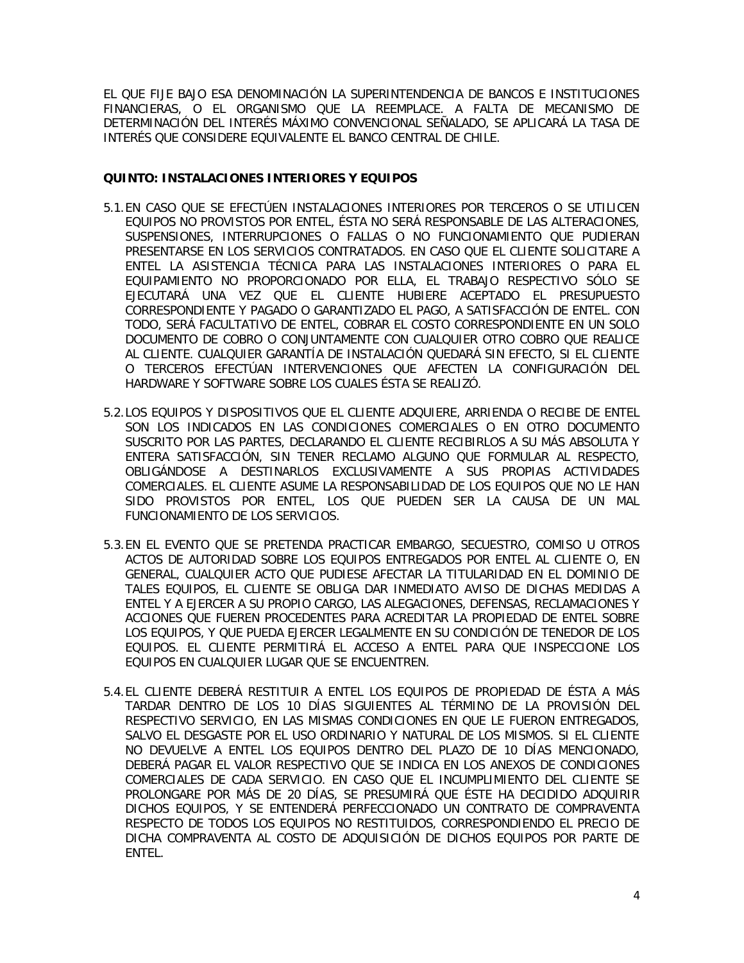EL QUE FIJE BAJO ESA DENOMINACIÓN LA SUPERINTENDENCIA DE BANCOS E INSTITUCIONES FINANCIERAS, O EL ORGANISMO QUE LA REEMPLACE. A FALTA DE MECANISMO DE DETERMINACIÓN DEL INTERÉS MÁXIMO CONVENCIONAL SEÑALADO, SE APLICARÁ LA TASA DE INTERÉS QUE CONSIDERE EQUIVALENTE EL BANCO CENTRAL DE CHILE.

## **QUINTO: INSTALACIONES INTERIORES Y EQUIPOS**

- 5.1.EN CASO QUE SE EFECTÚEN INSTALACIONES INTERIORES POR TERCEROS O SE UTILICEN EQUIPOS NO PROVISTOS POR ENTEL, ÉSTA NO SERÁ RESPONSABLE DE LAS ALTERACIONES, SUSPENSIONES, INTERRUPCIONES O FALLAS O NO FUNCIONAMIENTO QUE PUDIERAN PRESENTARSE EN LOS SERVICIOS CONTRATADOS. EN CASO QUE EL CLIENTE SOLICITARE A ENTEL LA ASISTENCIA TÉCNICA PARA LAS INSTALACIONES INTERIORES O PARA EL EQUIPAMIENTO NO PROPORCIONADO POR ELLA, EL TRABAJO RESPECTIVO SÓLO SE EJECUTARÁ UNA VEZ QUE EL CLIENTE HUBIERE ACEPTADO EL PRESUPUESTO CORRESPONDIENTE Y PAGADO O GARANTIZADO EL PAGO, A SATISFACCIÓN DE ENTEL. CON TODO, SERÁ FACULTATIVO DE ENTEL, COBRAR EL COSTO CORRESPONDIENTE EN UN SOLO DOCUMENTO DE COBRO O CONJUNTAMENTE CON CUALQUIER OTRO COBRO QUE REALICE AL CLIENTE. CUALQUIER GARANTÍA DE INSTALACIÓN QUEDARÁ SIN EFECTO, SI EL CLIENTE O TERCEROS EFECTÚAN INTERVENCIONES QUE AFECTEN LA CONFIGURACIÓN DEL HARDWARE Y SOFTWARE SOBRE LOS CUALES ÉSTA SE REALIZÓ.
- 5.2.LOS EQUIPOS Y DISPOSITIVOS QUE EL CLIENTE ADQUIERE, ARRIENDA O RECIBE DE ENTEL SON LOS INDICADOS EN LAS CONDICIONES COMERCIALES O EN OTRO DOCUMENTO SUSCRITO POR LAS PARTES, DECLARANDO EL CLIENTE RECIBIRLOS A SU MÁS ABSOLUTA Y ENTERA SATISFACCIÓN, SIN TENER RECLAMO ALGUNO QUE FORMULAR AL RESPECTO, OBLIGÁNDOSE A DESTINARLOS EXCLUSIVAMENTE A SUS PROPIAS ACTIVIDADES COMERCIALES. EL CLIENTE ASUME LA RESPONSABILIDAD DE LOS EQUIPOS QUE NO LE HAN SIDO PROVISTOS POR ENTEL, LOS QUE PUEDEN SER LA CAUSA DE UN MAL FUNCIONAMIENTO DE LOS SERVICIOS.
- 5.3.EN EL EVENTO QUE SE PRETENDA PRACTICAR EMBARGO, SECUESTRO, COMISO U OTROS ACTOS DE AUTORIDAD SOBRE LOS EQUIPOS ENTREGADOS POR ENTEL AL CLIENTE O, EN GENERAL, CUALQUIER ACTO QUE PUDIESE AFECTAR LA TITULARIDAD EN EL DOMINIO DE TALES EQUIPOS, EL CLIENTE SE OBLIGA DAR INMEDIATO AVISO DE DICHAS MEDIDAS A ENTEL Y A EJERCER A SU PROPIO CARGO, LAS ALEGACIONES, DEFENSAS, RECLAMACIONES Y ACCIONES QUE FUEREN PROCEDENTES PARA ACREDITAR LA PROPIEDAD DE ENTEL SOBRE LOS EQUIPOS, Y QUE PUEDA EJERCER LEGALMENTE EN SU CONDICIÓN DE TENEDOR DE LOS EQUIPOS. EL CLIENTE PERMITIRÁ EL ACCESO A ENTEL PARA QUE INSPECCIONE LOS EQUIPOS EN CUALQUIER LUGAR QUE SE ENCUENTREN.
- 5.4.EL CLIENTE DEBERÁ RESTITUIR A ENTEL LOS EQUIPOS DE PROPIEDAD DE ÉSTA A MÁS TARDAR DENTRO DE LOS 10 DÍAS SIGUIENTES AL TÉRMINO DE LA PROVISIÓN DEL RESPECTIVO SERVICIO, EN LAS MISMAS CONDICIONES EN QUE LE FUERON ENTREGADOS, SALVO EL DESGASTE POR EL USO ORDINARIO Y NATURAL DE LOS MISMOS. SI EL CLIENTE NO DEVUELVE A ENTEL LOS EQUIPOS DENTRO DEL PLAZO DE 10 DÍAS MENCIONADO, DEBERÁ PAGAR EL VALOR RESPECTIVO QUE SE INDICA EN LOS ANEXOS DE CONDICIONES COMERCIALES DE CADA SERVICIO. EN CASO QUE EL INCUMPLIMIENTO DEL CLIENTE SE PROLONGARE POR MÁS DE 20 DÍAS, SE PRESUMIRÁ QUE ÉSTE HA DECIDIDO ADQUIRIR DICHOS EQUIPOS, Y SE ENTENDERÁ PERFECCIONADO UN CONTRATO DE COMPRAVENTA RESPECTO DE TODOS LOS EQUIPOS NO RESTITUIDOS, CORRESPONDIENDO EL PRECIO DE DICHA COMPRAVENTA AL COSTO DE ADQUISICIÓN DE DICHOS EQUIPOS POR PARTE DE ENTEL.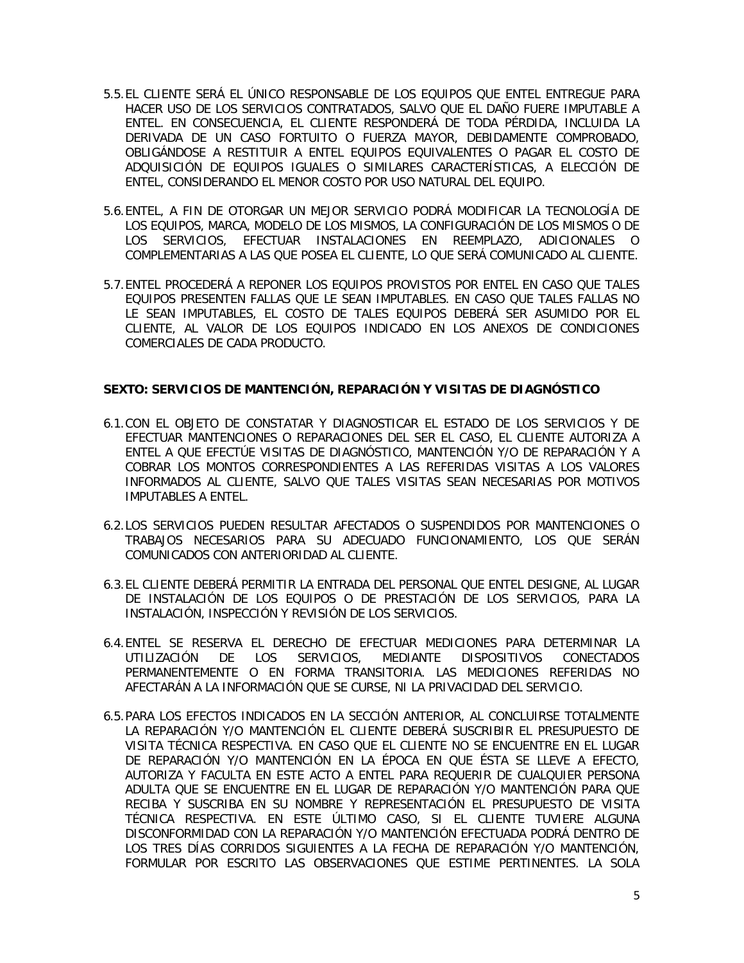- 5.5.EL CLIENTE SERÁ EL ÚNICO RESPONSABLE DE LOS EQUIPOS QUE ENTEL ENTREGUE PARA HACER USO DE LOS SERVICIOS CONTRATADOS, SALVO QUE EL DAÑO FUERE IMPUTABLE A ENTEL. EN CONSECUENCIA, EL CLIENTE RESPONDERÁ DE TODA PÉRDIDA, INCLUIDA LA DERIVADA DE UN CASO FORTUITO O FUERZA MAYOR, DEBIDAMENTE COMPROBADO, OBLIGÁNDOSE A RESTITUIR A ENTEL EQUIPOS EQUIVALENTES O PAGAR EL COSTO DE ADQUISICIÓN DE EQUIPOS IGUALES O SIMILARES CARACTERÍSTICAS, A ELECCIÓN DE ENTEL, CONSIDERANDO EL MENOR COSTO POR USO NATURAL DEL EQUIPO.
- 5.6.ENTEL, A FIN DE OTORGAR UN MEJOR SERVICIO PODRÁ MODIFICAR LA TECNOLOGÍA DE LOS EQUIPOS, MARCA, MODELO DE LOS MISMOS, LA CONFIGURACIÓN DE LOS MISMOS O DE LOS SERVICIOS, EFECTUAR INSTALACIONES EN REEMPLAZO, ADICIONALES O COMPLEMENTARIAS A LAS QUE POSEA EL CLIENTE, LO QUE SERÁ COMUNICADO AL CLIENTE.
- 5.7.ENTEL PROCEDERÁ A REPONER LOS EQUIPOS PROVISTOS POR ENTEL EN CASO QUE TALES EQUIPOS PRESENTEN FALLAS QUE LE SEAN IMPUTABLES. EN CASO QUE TALES FALLAS NO LE SEAN IMPUTABLES, EL COSTO DE TALES EQUIPOS DEBERÁ SER ASUMIDO POR EL CLIENTE, AL VALOR DE LOS EQUIPOS INDICADO EN LOS ANEXOS DE CONDICIONES COMERCIALES DE CADA PRODUCTO.

# **SEXTO: SERVICIOS DE MANTENCIÓN, REPARACIÓN Y VISITAS DE DIAGNÓSTICO**

- 6.1.CON EL OBJETO DE CONSTATAR Y DIAGNOSTICAR EL ESTADO DE LOS SERVICIOS Y DE EFECTUAR MANTENCIONES O REPARACIONES DEL SER EL CASO, EL CLIENTE AUTORIZA A ENTEL A QUE EFECTÚE VISITAS DE DIAGNÓSTICO, MANTENCIÓN Y/O DE REPARACIÓN Y A COBRAR LOS MONTOS CORRESPONDIENTES A LAS REFERIDAS VISITAS A LOS VALORES INFORMADOS AL CLIENTE, SALVO QUE TALES VISITAS SEAN NECESARIAS POR MOTIVOS IMPUTABLES A ENTEL.
- 6.2.LOS SERVICIOS PUEDEN RESULTAR AFECTADOS O SUSPENDIDOS POR MANTENCIONES O TRABAJOS NECESARIOS PARA SU ADECUADO FUNCIONAMIENTO, LOS QUE SERÁN COMUNICADOS CON ANTERIORIDAD AL CLIENTE.
- 6.3.EL CLIENTE DEBERÁ PERMITIR LA ENTRADA DEL PERSONAL QUE ENTEL DESIGNE, AL LUGAR DE INSTALACIÓN DE LOS EQUIPOS O DE PRESTACIÓN DE LOS SERVICIOS, PARA LA INSTALACIÓN, INSPECCIÓN Y REVISIÓN DE LOS SERVICIOS.
- 6.4.ENTEL SE RESERVA EL DERECHO DE EFECTUAR MEDICIONES PARA DETERMINAR LA UTILIZACIÓN DE LOS SERVICIOS, MEDIANTE DISPOSITIVOS CONECTADOS PERMANENTEMENTE O EN FORMA TRANSITORIA. LAS MEDICIONES REFERIDAS NO AFECTARÁN A LA INFORMACIÓN QUE SE CURSE, NI LA PRIVACIDAD DEL SERVICIO.
- 6.5.PARA LOS EFECTOS INDICADOS EN LA SECCIÓN ANTERIOR, AL CONCLUIRSE TOTALMENTE LA REPARACIÓN Y/O MANTENCIÓN EL CLIENTE DEBERÁ SUSCRIBIR EL PRESUPUESTO DE VISITA TÉCNICA RESPECTIVA. EN CASO QUE EL CLIENTE NO SE ENCUENTRE EN EL LUGAR DE REPARACIÓN Y/O MANTENCIÓN EN LA ÉPOCA EN QUE ÉSTA SE LLEVE A EFECTO, AUTORIZA Y FACULTA EN ESTE ACTO A ENTEL PARA REQUERIR DE CUALQUIER PERSONA ADULTA QUE SE ENCUENTRE EN EL LUGAR DE REPARACIÓN Y/O MANTENCIÓN PARA QUE RECIBA Y SUSCRIBA EN SU NOMBRE Y REPRESENTACIÓN EL PRESUPUESTO DE VISITA TÉCNICA RESPECTIVA. EN ESTE ÚLTIMO CASO, SI EL CLIENTE TUVIERE ALGUNA DISCONFORMIDAD CON LA REPARACIÓN Y/O MANTENCIÓN EFECTUADA PODRÁ DENTRO DE LOS TRES DÍAS CORRIDOS SIGUIENTES A LA FECHA DE REPARACIÓN Y/O MANTENCIÓN, FORMULAR POR ESCRITO LAS OBSERVACIONES QUE ESTIME PERTINENTES. LA SOLA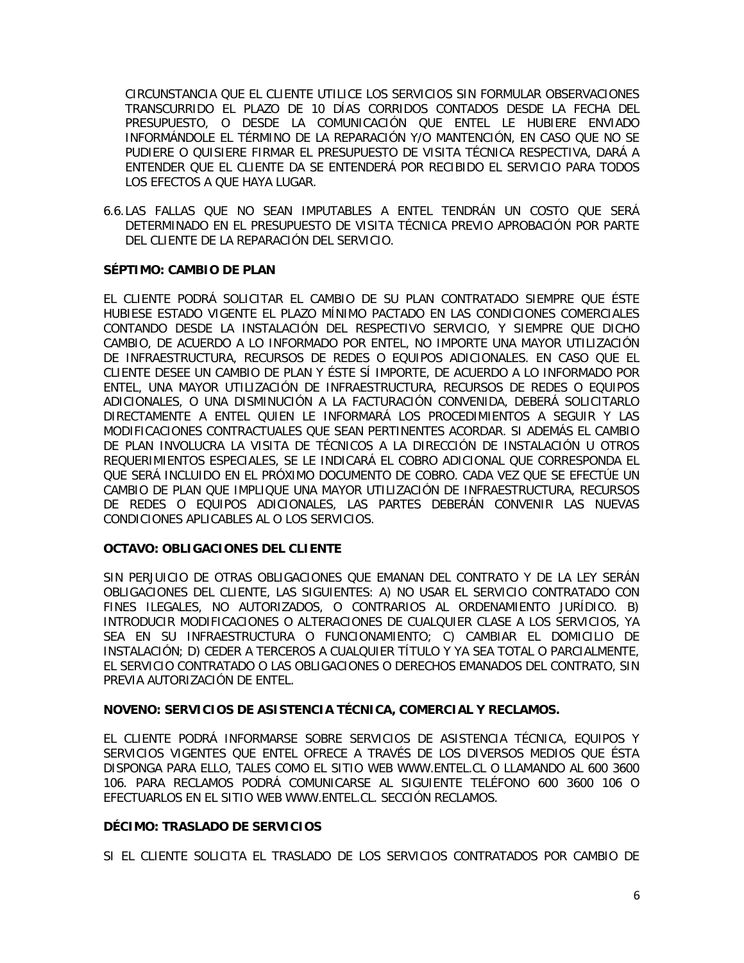CIRCUNSTANCIA QUE EL CLIENTE UTILICE LOS SERVICIOS SIN FORMULAR OBSERVACIONES TRANSCURRIDO EL PLAZO DE 10 DÍAS CORRIDOS CONTADOS DESDE LA FECHA DEL PRESUPUESTO, O DESDE LA COMUNICACIÓN QUE ENTEL LE HUBIERE ENVIADO INFORMÁNDOLE EL TÉRMINO DE LA REPARACIÓN Y/O MANTENCIÓN, EN CASO QUE NO SE PUDIERE O QUISIERE FIRMAR EL PRESUPUESTO DE VISITA TÉCNICA RESPECTIVA, DARÁ A ENTENDER QUE EL CLIENTE DA SE ENTENDERÁ POR RECIBIDO EL SERVICIO PARA TODOS LOS EFECTOS A QUE HAYA LUGAR.

6.6.LAS FALLAS QUE NO SEAN IMPUTABLES A ENTEL TENDRÁN UN COSTO QUE SERÁ DETERMINADO EN EL PRESUPUESTO DE VISITA TÉCNICA PREVIO APROBACIÓN POR PARTE DEL CLIENTE DE LA REPARACIÓN DEL SERVICIO.

## **SÉPTIMO: CAMBIO DE PLAN**

EL CLIENTE PODRÁ SOLICITAR EL CAMBIO DE SU PLAN CONTRATADO SIEMPRE QUE ÉSTE HUBIESE ESTADO VIGENTE EL PLAZO MÍNIMO PACTADO EN LAS CONDICIONES COMERCIALES CONTANDO DESDE LA INSTALACIÓN DEL RESPECTIVO SERVICIO, Y SIEMPRE QUE DICHO CAMBIO, DE ACUERDO A LO INFORMADO POR ENTEL, NO IMPORTE UNA MAYOR UTILIZACIÓN DE INFRAESTRUCTURA, RECURSOS DE REDES O EQUIPOS ADICIONALES. EN CASO QUE EL CLIENTE DESEE UN CAMBIO DE PLAN Y ÉSTE SÍ IMPORTE, DE ACUERDO A LO INFORMADO POR ENTEL, UNA MAYOR UTILIZACIÓN DE INFRAESTRUCTURA, RECURSOS DE REDES O EQUIPOS ADICIONALES, O UNA DISMINUCIÓN A LA FACTURACIÓN CONVENIDA, DEBERÁ SOLICITARLO DIRECTAMENTE A ENTEL QUIEN LE INFORMARÁ LOS PROCEDIMIENTOS A SEGUIR Y LAS MODIFICACIONES CONTRACTUALES QUE SEAN PERTINENTES ACORDAR. SI ADEMÁS EL CAMBIO DE PLAN INVOLUCRA LA VISITA DE TÉCNICOS A LA DIRECCIÓN DE INSTALACIÓN U OTROS REQUERIMIENTOS ESPECIALES, SE LE INDICARÁ EL COBRO ADICIONAL QUE CORRESPONDA EL QUE SERÁ INCLUIDO EN EL PRÓXIMO DOCUMENTO DE COBRO. CADA VEZ QUE SE EFECTÚE UN CAMBIO DE PLAN QUE IMPLIQUE UNA MAYOR UTILIZACIÓN DE INFRAESTRUCTURA, RECURSOS DE REDES O EQUIPOS ADICIONALES, LAS PARTES DEBERÁN CONVENIR LAS NUEVAS CONDICIONES APLICABLES AL O LOS SERVICIOS.

# **OCTAVO: OBLIGACIONES DEL CLIENTE**

SIN PERJUICIO DE OTRAS OBLIGACIONES QUE EMANAN DEL CONTRATO Y DE LA LEY SERÁN OBLIGACIONES DEL CLIENTE, LAS SIGUIENTES: A) NO USAR EL SERVICIO CONTRATADO CON FINES ILEGALES, NO AUTORIZADOS, O CONTRARIOS AL ORDENAMIENTO JURÍDICO. B) INTRODUCIR MODIFICACIONES O ALTERACIONES DE CUALQUIER CLASE A LOS SERVICIOS, YA SEA EN SU INFRAESTRUCTURA O FUNCIONAMIENTO; C) CAMBIAR EL DOMICILIO DE INSTALACIÓN; D) CEDER A TERCEROS A CUALQUIER TÍTULO Y YA SEA TOTAL O PARCIALMENTE, EL SERVICIO CONTRATADO O LAS OBLIGACIONES O DERECHOS EMANADOS DEL CONTRATO, SIN PREVIA AUTORIZACIÓN DE ENTEL.

# **NOVENO: SERVICIOS DE ASISTENCIA TÉCNICA, COMERCIAL Y RECLAMOS.**

EL CLIENTE PODRÁ INFORMARSE SOBRE SERVICIOS DE ASISTENCIA TÉCNICA, EQUIPOS Y SERVICIOS VIGENTES QUE ENTEL OFRECE A TRAVÉS DE LOS DIVERSOS MEDIOS QUE ÉSTA DISPONGA PARA ELLO, TALES COMO EL SITIO WEB [WWW.ENTEL.CL](http://www.entel.cl/) O LLAMANDO AL 600 3600 106. PARA RECLAMOS PODRÁ COMUNICARSE AL SIGUIENTE TELÉFONO 600 3600 106 O EFECTUARLOS EN EL SITIO WEB [WWW.ENTEL.CL.](http://www.entel.cl/) SECCIÓN RECLAMOS.

#### **DÉCIMO: TRASLADO DE SERVICIOS**

SI EL CLIENTE SOLICITA EL TRASLADO DE LOS SERVICIOS CONTRATADOS POR CAMBIO DE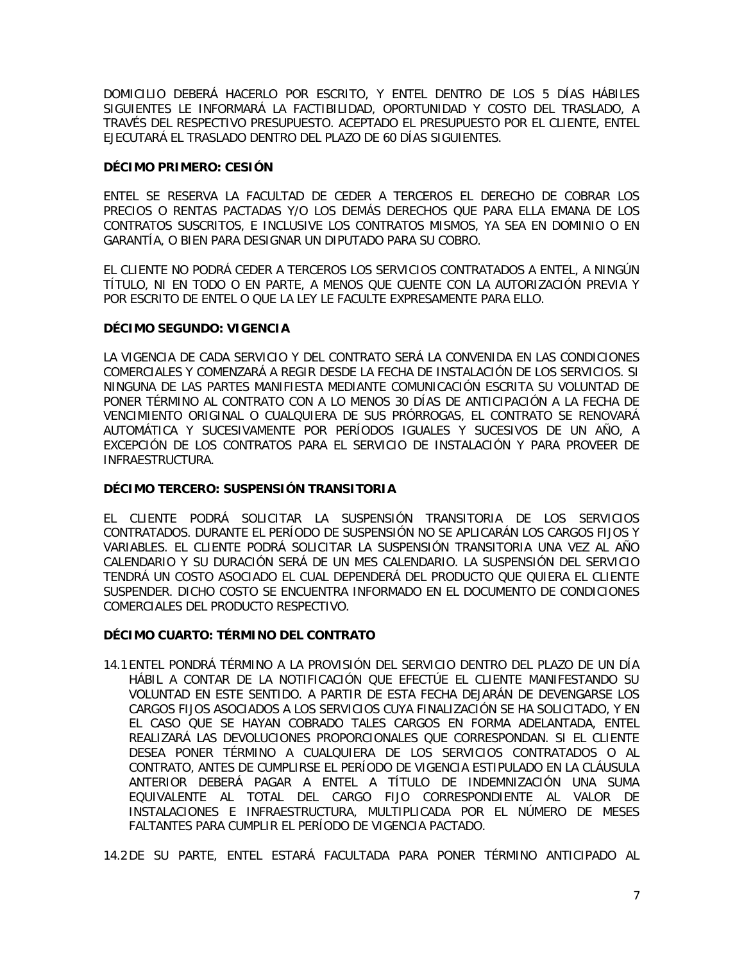DOMICILIO DEBERÁ HACERLO POR ESCRITO, Y ENTEL DENTRO DE LOS 5 DÍAS HÁBILES SIGUIENTES LE INFORMARÁ LA FACTIBILIDAD, OPORTUNIDAD Y COSTO DEL TRASLADO, A TRAVÉS DEL RESPECTIVO PRESUPUESTO. ACEPTADO EL PRESUPUESTO POR EL CLIENTE, ENTEL EJECUTARÁ EL TRASLADO DENTRO DEL PLAZO DE 60 DÍAS SIGUIENTES.

## **DÉCIMO PRIMERO: CESIÓN**

ENTEL SE RESERVA LA FACULTAD DE CEDER A TERCEROS EL DERECHO DE COBRAR LOS PRECIOS O RENTAS PACTADAS Y/O LOS DEMÁS DERECHOS QUE PARA ELLA EMANA DE LOS CONTRATOS SUSCRITOS, E INCLUSIVE LOS CONTRATOS MISMOS, YA SEA EN DOMINIO O EN GARANTÍA, O BIEN PARA DESIGNAR UN DIPUTADO PARA SU COBRO.

EL CLIENTE NO PODRÁ CEDER A TERCEROS LOS SERVICIOS CONTRATADOS A ENTEL, A NINGÚN TÍTULO, NI EN TODO O EN PARTE, A MENOS QUE CUENTE CON LA AUTORIZACIÓN PREVIA Y POR ESCRITO DE ENTEL O QUE LA LEY LE FACULTE EXPRESAMENTE PARA ELLO.

## **DÉCIMO SEGUNDO: VIGENCIA**

LA VIGENCIA DE CADA SERVICIO Y DEL CONTRATO SERÁ LA CONVENIDA EN LAS CONDICIONES COMERCIALES Y COMENZARÁ A REGIR DESDE LA FECHA DE INSTALACIÓN DE LOS SERVICIOS. SI NINGUNA DE LAS PARTES MANIFIESTA MEDIANTE COMUNICACIÓN ESCRITA SU VOLUNTAD DE PONER TÉRMINO AL CONTRATO CON A LO MENOS 30 DÍAS DE ANTICIPACIÓN A LA FECHA DE VENCIMIENTO ORIGINAL O CUALQUIERA DE SUS PRÓRROGAS, EL CONTRATO SE RENOVARÁ AUTOMÁTICA Y SUCESIVAMENTE POR PERÍODOS IGUALES Y SUCESIVOS DE UN AÑO, A EXCEPCIÓN DE LOS CONTRATOS PARA EL SERVICIO DE INSTALACIÓN Y PARA PROVEER DE INFRAESTRUCTURA.

## **DÉCIMO TERCERO: SUSPENSIÓN TRANSITORIA**

EL CLIENTE PODRÁ SOLICITAR LA SUSPENSIÓN TRANSITORIA DE LOS SERVICIOS CONTRATADOS. DURANTE EL PERÍODO DE SUSPENSIÓN NO SE APLICARÁN LOS CARGOS FIJOS Y VARIABLES. EL CLIENTE PODRÁ SOLICITAR LA SUSPENSIÓN TRANSITORIA UNA VEZ AL AÑO CALENDARIO Y SU DURACIÓN SERÁ DE UN MES CALENDARIO. LA SUSPENSIÓN DEL SERVICIO TENDRÁ UN COSTO ASOCIADO EL CUAL DEPENDERÁ DEL PRODUCTO QUE QUIERA EL CLIENTE SUSPENDER. DICHO COSTO SE ENCUENTRA INFORMADO EN EL DOCUMENTO DE CONDICIONES COMERCIALES DEL PRODUCTO RESPECTIVO.

# **DÉCIMO CUARTO: TÉRMINO DEL CONTRATO**

14.1 ENTEL PONDRÁ TÉRMINO A LA PROVISIÓN DEL SERVICIO DENTRO DEL PLAZO DE UN DÍA HÁBIL A CONTAR DE LA NOTIFICACIÓN QUE EFECTÚE EL CLIENTE MANIFESTANDO SU VOLUNTAD EN ESTE SENTIDO. A PARTIR DE ESTA FECHA DEJARÁN DE DEVENGARSE LOS CARGOS FIJOS ASOCIADOS A LOS SERVICIOS CUYA FINALIZACIÓN SE HA SOLICITADO, Y EN EL CASO QUE SE HAYAN COBRADO TALES CARGOS EN FORMA ADELANTADA, ENTEL REALIZARÁ LAS DEVOLUCIONES PROPORCIONALES QUE CORRESPONDAN. SI EL CLIENTE DESEA PONER TÉRMINO A CUALQUIERA DE LOS SERVICIOS CONTRATADOS O AL CONTRATO, ANTES DE CUMPLIRSE EL PERÍODO DE VIGENCIA ESTIPULADO EN LA CLÁUSULA ANTERIOR DEBERÁ PAGAR A ENTEL A TÍTULO DE INDEMNIZACIÓN UNA SUMA EQUIVALENTE AL TOTAL DEL CARGO FIJO CORRESPONDIENTE AL VALOR DE INSTALACIONES E INFRAESTRUCTURA, MULTIPLICADA POR EL NÚMERO DE MESES FALTANTES PARA CUMPLIR EL PERÍODO DE VIGENCIA PACTADO.

14.2DE SU PARTE, ENTEL ESTARÁ FACULTADA PARA PONER TÉRMINO ANTICIPADO AL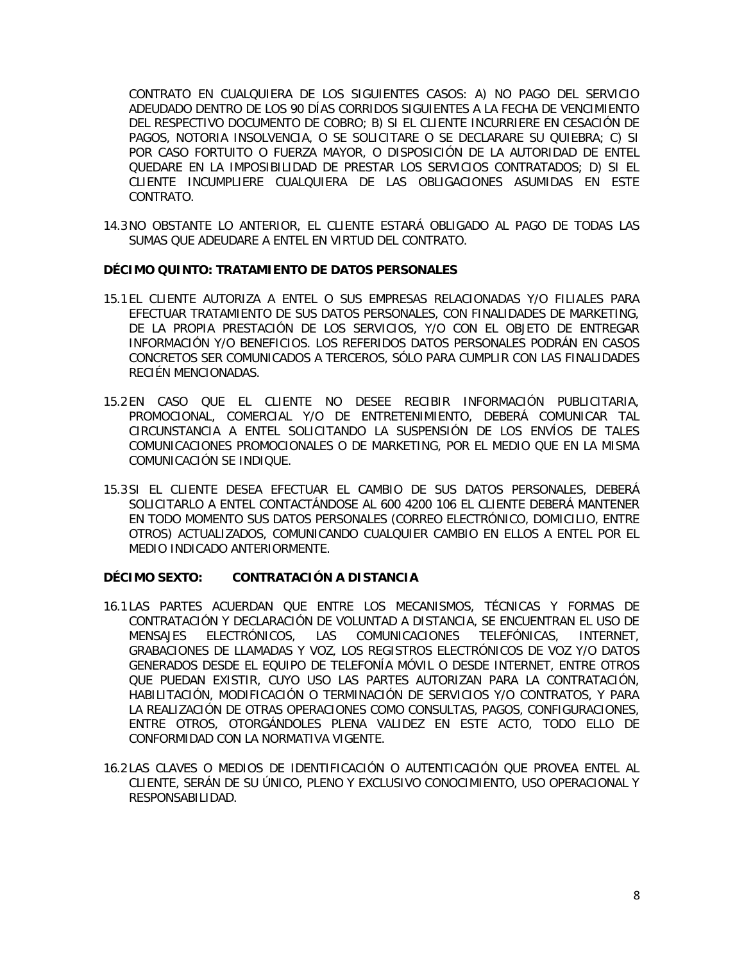CONTRATO EN CUALQUIERA DE LOS SIGUIENTES CASOS: A) NO PAGO DEL SERVICIO ADEUDADO DENTRO DE LOS 90 DÍAS CORRIDOS SIGUIENTES A LA FECHA DE VENCIMIENTO DEL RESPECTIVO DOCUMENTO DE COBRO; B) SI EL CLIENTE INCURRIERE EN CESACIÓN DE PAGOS, NOTORIA INSOLVENCIA, O SE SOLICITARE O SE DECLARARE SU QUIEBRA; C) SI POR CASO FORTUITO O FUERZA MAYOR, O DISPOSICIÓN DE LA AUTORIDAD DE ENTEL QUEDARE EN LA IMPOSIBILIDAD DE PRESTAR LOS SERVICIOS CONTRATADOS; D) SI EL CLIENTE INCUMPLIERE CUALQUIERA DE LAS OBLIGACIONES ASUMIDAS EN ESTE CONTRATO.

14.3NO OBSTANTE LO ANTERIOR, EL CLIENTE ESTARÁ OBLIGADO AL PAGO DE TODAS LAS SUMAS QUE ADEUDARE A ENTEL EN VIRTUD DEL CONTRATO.

## **DÉCIMO QUINTO: TRATAMIENTO DE DATOS PERSONALES**

- 15.1 EL CLIENTE AUTORIZA A ENTEL O SUS EMPRESAS RELACIONADAS Y/O FILIALES PARA EFECTUAR TRATAMIENTO DE SUS DATOS PERSONALES, CON FINALIDADES DE MARKETING, DE LA PROPIA PRESTACIÓN DE LOS SERVICIOS, Y/O CON EL OBJETO DE ENTREGAR INFORMACIÓN Y/O BENEFICIOS. LOS REFERIDOS DATOS PERSONALES PODRÁN EN CASOS CONCRETOS SER COMUNICADOS A TERCEROS, SÓLO PARA CUMPLIR CON LAS FINALIDADES RECIÉN MENCIONADAS.
- 15.2 EN CASO QUE EL CLIENTE NO DESEE RECIBIR INFORMACIÓN PUBLICITARIA, PROMOCIONAL, COMERCIAL Y/O DE ENTRETENIMIENTO, DEBERÁ COMUNICAR TAL CIRCUNSTANCIA A ENTEL SOLICITANDO LA SUSPENSIÓN DE LOS ENVÍOS DE TALES COMUNICACIONES PROMOCIONALES O DE MARKETING, POR EL MEDIO QUE EN LA MISMA COMUNICACIÓN SE INDIQUE.
- 15.3 SI EL CLIENTE DESEA EFECTUAR EL CAMBIO DE SUS DATOS PERSONALES, DEBERÁ SOLICITARLO A ENTEL CONTACTÁNDOSE AL 600 4200 106 EL CLIENTE DEBERÁ MANTENER EN TODO MOMENTO SUS DATOS PERSONALES (CORREO ELECTRÓNICO, DOMICILIO, ENTRE OTROS) ACTUALIZADOS, COMUNICANDO CUALQUIER CAMBIO EN ELLOS A ENTEL POR EL MEDIO INDICADO ANTERIORMENTE.

#### **DÉCIMO SEXTO: CONTRATACIÓN A DISTANCIA**

- 16.1 LAS PARTES ACUERDAN QUE ENTRE LOS MECANISMOS, TÉCNICAS Y FORMAS DE CONTRATACIÓN Y DECLARACIÓN DE VOLUNTAD A DISTANCIA, SE ENCUENTRAN EL USO DE MENSAJES ELECTRÓNICOS, LAS COMUNICACIONES TELEFÓNICAS, INTERNET, GRABACIONES DE LLAMADAS Y VOZ, LOS REGISTROS ELECTRÓNICOS DE VOZ Y/O DATOS GENERADOS DESDE EL EQUIPO DE TELEFONÍA MÓVIL O DESDE INTERNET, ENTRE OTROS QUE PUEDAN EXISTIR, CUYO USO LAS PARTES AUTORIZAN PARA LA CONTRATACIÓN, HABILITACIÓN, MODIFICACIÓN O TERMINACIÓN DE SERVICIOS Y/O CONTRATOS, Y PARA LA REALIZACIÓN DE OTRAS OPERACIONES COMO CONSULTAS, PAGOS, CONFIGURACIONES, ENTRE OTROS, OTORGÁNDOLES PLENA VALIDEZ EN ESTE ACTO, TODO ELLO DE CONFORMIDAD CON LA NORMATIVA VIGENTE.
- 16.2 LAS CLAVES O MEDIOS DE IDENTIFICACIÓN O AUTENTICACIÓN QUE PROVEA ENTEL AL CLIENTE, SERÁN DE SU ÚNICO, PLENO Y EXCLUSIVO CONOCIMIENTO, USO OPERACIONAL Y RESPONSABILIDAD.